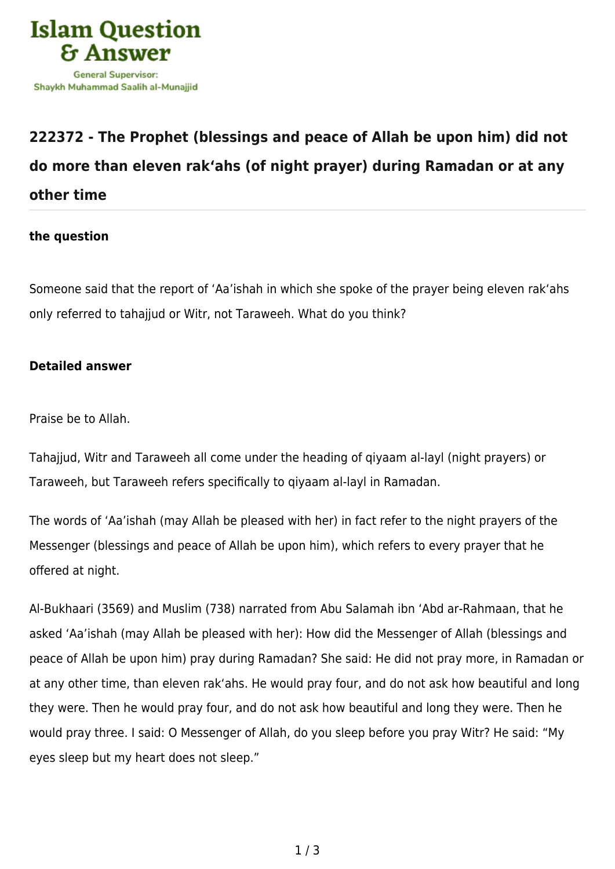

## **[222372 - The Prophet \(blessings and peace of Allah be upon him\) did not](https://islamqa.com/en/answers/222372/the-prophet-blessings-and-peace-of-allah-be-upon-him-did-not-do-more-than-eleven-rakahs-of-night-prayer-during-ramadan-or-at-any-other-time) [do more than eleven rak'ahs \(of night prayer\) during Ramadan or at any](https://islamqa.com/en/answers/222372/the-prophet-blessings-and-peace-of-allah-be-upon-him-did-not-do-more-than-eleven-rakahs-of-night-prayer-during-ramadan-or-at-any-other-time) [other time](https://islamqa.com/en/answers/222372/the-prophet-blessings-and-peace-of-allah-be-upon-him-did-not-do-more-than-eleven-rakahs-of-night-prayer-during-ramadan-or-at-any-other-time)**

## **the question**

Someone said that the report of 'Aa'ishah in which she spoke of the prayer being eleven rak'ahs only referred to tahajjud or Witr, not Taraweeh. What do you think?

## **Detailed answer**

Praise be to Allah.

Tahajjud, Witr and Taraweeh all come under the heading of qiyaam al-layl (night prayers) or Taraweeh, but Taraweeh refers specifically to qiyaam al-layl in Ramadan.

The words of 'Aa'ishah (may Allah be pleased with her) in fact refer to the night prayers of the Messenger (blessings and peace of Allah be upon him), which refers to every prayer that he offered at night.

Al-Bukhaari (3569) and Muslim (738) narrated from Abu Salamah ibn 'Abd ar-Rahmaan, that he asked 'Aa'ishah (may Allah be pleased with her): How did the Messenger of Allah (blessings and peace of Allah be upon him) pray during Ramadan? She said: He did not pray more, in Ramadan or at any other time, than eleven rak'ahs. He would pray four, and do not ask how beautiful and long they were. Then he would pray four, and do not ask how beautiful and long they were. Then he would pray three. I said: O Messenger of Allah, do you sleep before you pray Witr? He said: "My eyes sleep but my heart does not sleep."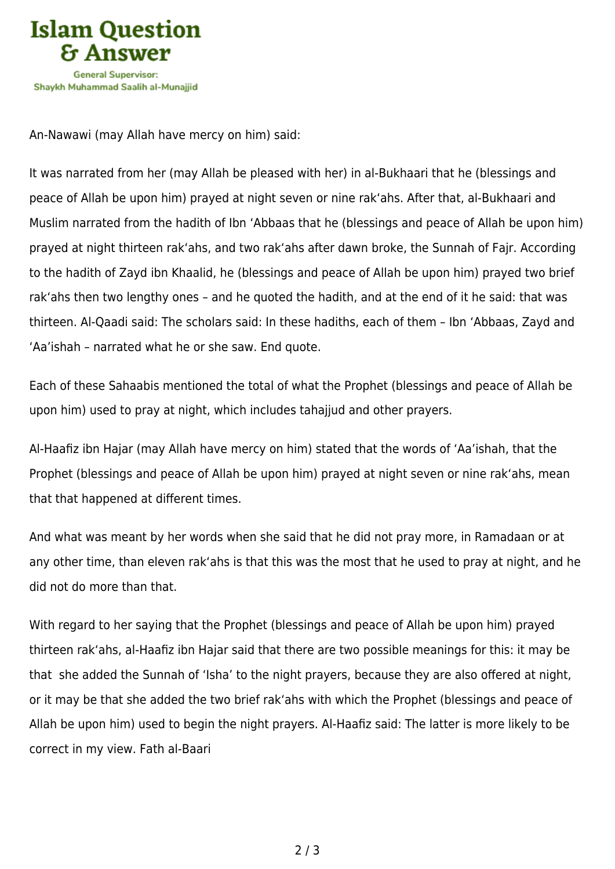

An-Nawawi (may Allah have mercy on him) said:

It was narrated from her (may Allah be pleased with her) in al-Bukhaari that he (blessings and peace of Allah be upon him) prayed at night seven or nine rak'ahs. After that, al-Bukhaari and Muslim narrated from the hadith of Ibn 'Abbaas that he (blessings and peace of Allah be upon him) prayed at night thirteen rak'ahs, and two rak'ahs after dawn broke, the Sunnah of Fajr. According to the hadith of Zayd ibn Khaalid, he (blessings and peace of Allah be upon him) prayed two brief rak'ahs then two lengthy ones – and he quoted the hadith, and at the end of it he said: that was thirteen. Al-Qaadi said: The scholars said: In these hadiths, each of them – Ibn 'Abbaas, Zayd and 'Aa'ishah – narrated what he or she saw. End quote.

Each of these Sahaabis mentioned the total of what the Prophet (blessings and peace of Allah be upon him) used to pray at night, which includes tahajjud and other prayers.

Al-Haafiz ibn Hajar (may Allah have mercy on him) stated that the words of 'Aa'ishah, that the Prophet (blessings and peace of Allah be upon him) prayed at night seven or nine rak'ahs, mean that that happened at different times.

And what was meant by her words when she said that he did not pray more, in Ramadaan or at any other time, than eleven rak'ahs is that this was the most that he used to pray at night, and he did not do more than that.

With regard to her saying that the Prophet (blessings and peace of Allah be upon him) prayed thirteen rak'ahs, al-Haafiz ibn Hajar said that there are two possible meanings for this: it may be that she added the Sunnah of 'Isha' to the night prayers, because they are also offered at night, or it may be that she added the two brief rak'ahs with which the Prophet (blessings and peace of Allah be upon him) used to begin the night prayers. Al-Haafiz said: The latter is more likely to be correct in my view. Fath al-Baari